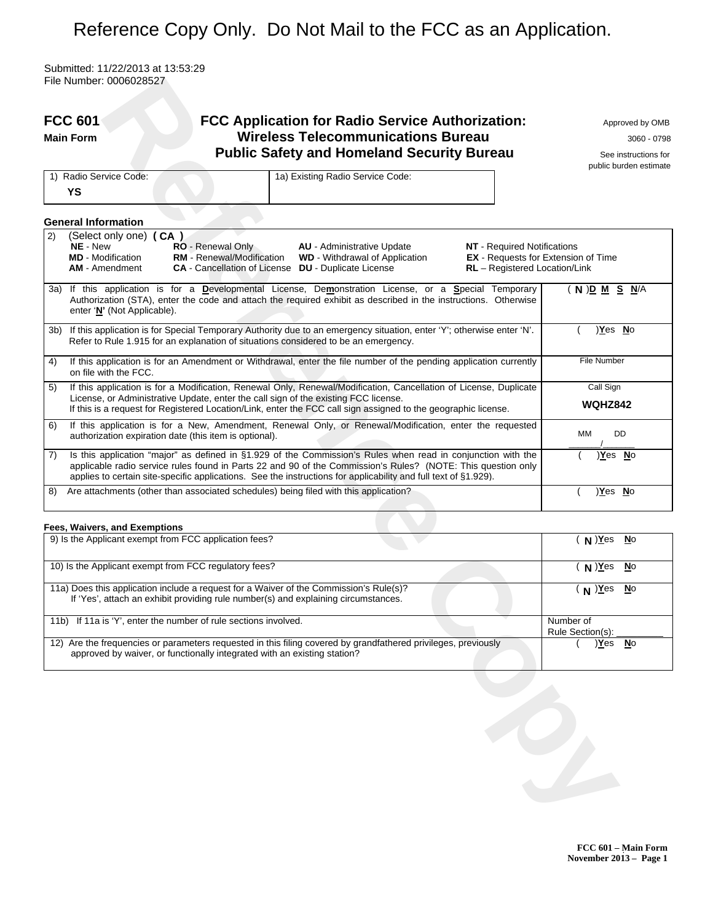# Reference Copy Only. Do Not Mail to the FCC as an Application.

Submitted: 11/22/2013 at 13:53:29 File Number: 0006028527

|     | <b>FCC 601</b><br><b>FCC Application for Radio Service Authorization:</b><br><b>Wireless Telecommunications Bureau</b><br><b>Main Form</b><br><b>Public Safety and Homeland Security Bureau</b>                                                                                                                                                                            | Approved by OMB<br>3060 - 0798<br>See instructions for<br>public burden estimate |
|-----|----------------------------------------------------------------------------------------------------------------------------------------------------------------------------------------------------------------------------------------------------------------------------------------------------------------------------------------------------------------------------|----------------------------------------------------------------------------------|
|     | 1a) Existing Radio Service Code:<br>1) Radio Service Code:<br>YS                                                                                                                                                                                                                                                                                                           |                                                                                  |
|     | <b>General Information</b>                                                                                                                                                                                                                                                                                                                                                 |                                                                                  |
| 2)  | (Select only one) (CA)<br>NE - New<br>RO - Renewal Only<br><b>NT</b> - Required Notifications<br><b>AU</b> - Administrative Update<br><b>RM</b> - Renewal/Modification<br><b>MD</b> - Modification<br><b>WD</b> - Withdrawal of Application<br><b>CA</b> - Cancellation of License <b>DU</b> - Duplicate License<br>RL - Registered Location/Link<br><b>AM</b> - Amendment | <b>EX</b> - Requests for Extension of Time                                       |
|     | 3a) If this application is for a Developmental License, Demonstration License, or a Special Temporary<br>Authorization (STA), enter the code and attach the required exhibit as described in the instructions. Otherwise<br>enter 'N' (Not Applicable).                                                                                                                    | $(N)D$ <u>M</u> S $N/A$                                                          |
| 3b) | If this application is for Special Temporary Authority due to an emergency situation, enter 'Y'; otherwise enter 'N'.<br>Refer to Rule 1.915 for an explanation of situations considered to be an emergency.                                                                                                                                                               | )Yes No                                                                          |
| 4)  | If this application is for an Amendment or Withdrawal, enter the file number of the pending application currently<br>on file with the FCC.                                                                                                                                                                                                                                 | <b>File Number</b>                                                               |
| 5)  | If this application is for a Modification, Renewal Only, Renewal/Modification, Cancellation of License, Duplicate<br>License, or Administrative Update, enter the call sign of the existing FCC license.<br>If this is a request for Registered Location/Link, enter the FCC call sign assigned to the geographic license.                                                 | Call Sign<br><b>WQHZ842</b>                                                      |
| 6)  | If this application is for a New, Amendment, Renewal Only, or Renewal/Modification, enter the requested<br>authorization expiration date (this item is optional).                                                                                                                                                                                                          | DD<br>MМ                                                                         |
| 7)  | Is this application "major" as defined in §1.929 of the Commission's Rules when read in conjunction with the<br>applicable radio service rules found in Parts 22 and 90 of the Commission's Rules? (NOTE: This question only<br>applies to certain site-specific applications. See the instructions for applicability and full text of §1.929).                            | <u>)Yes No</u>                                                                   |
| 8)  | Are attachments (other than associated schedules) being filed with this application?                                                                                                                                                                                                                                                                                       | )Yes No                                                                          |
|     | Fees, Waivers, and Exemptions                                                                                                                                                                                                                                                                                                                                              |                                                                                  |
|     | 9) Is the Applicant exempt from FCC application fees?                                                                                                                                                                                                                                                                                                                      | $(N)$ Yes<br><u>No</u>                                                           |
|     | 10) Is the Applicant exempt from FCC regulatory fees?                                                                                                                                                                                                                                                                                                                      | $(N)$ Yes<br>No                                                                  |
|     | 11a) Does this application include a request for a Waiver of the Commission's Rule(s)?<br>If 'Yes', attach an exhibit providing rule number(s) and explaining circumstances.                                                                                                                                                                                               | $(N)$ $Yes$<br>$\underline{\mathsf{N}}$ o                                        |
|     | 11b) If 11a is 'Y', enter the number of rule sections involved.                                                                                                                                                                                                                                                                                                            | Number of<br>Rule Section(s):                                                    |
|     | 12) Are the frequencies or parameters requested in this filing covered by grandfathered privileges, previously<br>approved by waiver, or functionally integrated with an existing station?                                                                                                                                                                                 | <u>Yes</u><br>$No$                                                               |
|     |                                                                                                                                                                                                                                                                                                                                                                            |                                                                                  |

## **Fees, Waivers, and Exemptions**

| 9) Is the Applicant exempt from FCC application fees?                                                                                                                                      | $N)$ Yes<br><b>No</b>         |
|--------------------------------------------------------------------------------------------------------------------------------------------------------------------------------------------|-------------------------------|
| 10) Is the Applicant exempt from FCC regulatory fees?                                                                                                                                      | $N$ )Yes<br><b>N</b> o        |
| 11a) Does this application include a request for a Waiver of the Commission's Rule(s)?<br>If 'Yes', attach an exhibit providing rule number(s) and explaining circumstances.               | $N^{2}$<br><u>N</u> o         |
| 11b) If 11a is 'Y', enter the number of rule sections involved.                                                                                                                            | Number of<br>Rule Section(s): |
| 12) Are the frequencies or parameters requested in this filing covered by grandfathered privileges, previously<br>approved by waiver, or functionally integrated with an existing station? | Yes)<br>No                    |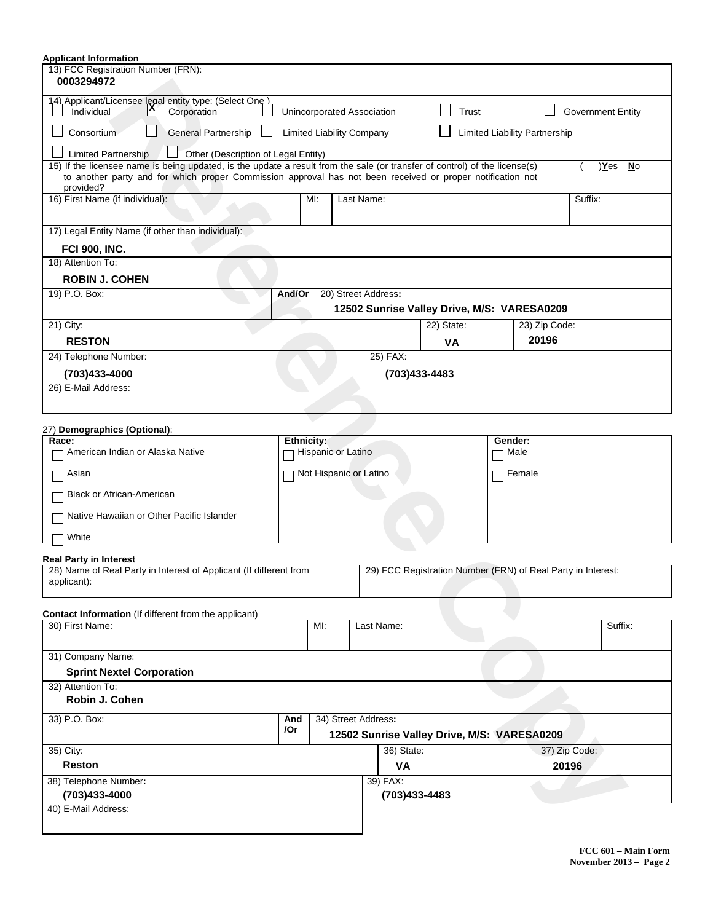| <b>Applicant Information</b>                                                                                                                                                                    |        |                                  |            |                                             |            |                               |               |                                                              |  |  |
|-------------------------------------------------------------------------------------------------------------------------------------------------------------------------------------------------|--------|----------------------------------|------------|---------------------------------------------|------------|-------------------------------|---------------|--------------------------------------------------------------|--|--|
| 13) FCC Registration Number (FRN):<br>0003294972                                                                                                                                                |        |                                  |            |                                             |            |                               |               |                                                              |  |  |
| 14) Applicant/Licensee legal entity type: (Select One )<br>l۸<br>Individual<br>Corporation                                                                                                      |        |                                  |            | Unincorporated Association                  |            | Trust                         |               | <b>Government Entity</b>                                     |  |  |
| <b>General Partnership</b><br>Consortium                                                                                                                                                        |        | <b>Limited Liability Company</b> |            |                                             |            | Limited Liability Partnership |               |                                                              |  |  |
|                                                                                                                                                                                                 |        |                                  |            |                                             |            |                               |               |                                                              |  |  |
| <b>Limited Partnership</b><br>Other (Description of Legal Entity)<br>15) If the licensee name is being updated, is the update a result from the sale (or transfer of control) of the license(s) |        |                                  |            |                                             |            |                               |               | )Yes<br><u>No</u>                                            |  |  |
| to another party and for which proper Commission approval has not been received or proper notification not<br>provided?                                                                         |        |                                  |            |                                             |            |                               |               |                                                              |  |  |
| 16) First Name (if individual):                                                                                                                                                                 |        | MI:                              | Last Name: |                                             |            |                               |               | Suffix:                                                      |  |  |
| 17) Legal Entity Name (if other than individual):                                                                                                                                               |        |                                  |            |                                             |            |                               |               |                                                              |  |  |
| <b>FCI 900, INC.</b>                                                                                                                                                                            |        |                                  |            |                                             |            |                               |               |                                                              |  |  |
| 18) Attention To:                                                                                                                                                                               |        |                                  |            |                                             |            |                               |               |                                                              |  |  |
| <b>ROBIN J. COHEN</b>                                                                                                                                                                           |        |                                  |            |                                             |            |                               |               |                                                              |  |  |
| 19) P.O. Box:                                                                                                                                                                                   | And/Or |                                  |            | 20) Street Address:                         |            |                               |               |                                                              |  |  |
|                                                                                                                                                                                                 |        |                                  |            | 12502 Sunrise Valley Drive, M/S: VARESA0209 |            |                               |               |                                                              |  |  |
| 21) City:                                                                                                                                                                                       |        |                                  |            |                                             | 22) State: |                               | 23) Zip Code: |                                                              |  |  |
| <b>RESTON</b>                                                                                                                                                                                   |        |                                  |            |                                             | <b>VA</b>  |                               | 20196         |                                                              |  |  |
| 24) Telephone Number:                                                                                                                                                                           |        |                                  |            | 25) FAX:                                    |            |                               |               |                                                              |  |  |
| (703)433-4000                                                                                                                                                                                   |        |                                  |            | (703)433-4483                               |            |                               |               |                                                              |  |  |
| 26) E-Mail Address:                                                                                                                                                                             |        |                                  |            |                                             |            |                               |               |                                                              |  |  |
|                                                                                                                                                                                                 |        |                                  |            |                                             |            |                               |               |                                                              |  |  |
| 27) Demographics (Optional):                                                                                                                                                                    |        |                                  |            |                                             |            |                               |               |                                                              |  |  |
| Race:<br>American Indian or Alaska Native                                                                                                                                                       |        | Ethnicity:<br>Hispanic or Latino |            |                                             |            | Gender:                       | Male          |                                                              |  |  |
|                                                                                                                                                                                                 |        |                                  |            |                                             |            |                               |               |                                                              |  |  |
| Asian                                                                                                                                                                                           |        | Not Hispanic or Latino           |            |                                             |            | $\blacksquare$                | Female        |                                                              |  |  |
| Black or African-American                                                                                                                                                                       |        |                                  |            |                                             |            |                               |               |                                                              |  |  |
| Native Hawaiian or Other Pacific Islander                                                                                                                                                       |        |                                  |            |                                             |            |                               |               |                                                              |  |  |
| White                                                                                                                                                                                           |        |                                  |            |                                             |            |                               |               |                                                              |  |  |
| <b>Real Party in Interest</b>                                                                                                                                                                   |        |                                  |            |                                             |            |                               |               |                                                              |  |  |
| 28) Name of Real Party in Interest of Applicant (If different from<br>applicant):                                                                                                               |        |                                  |            |                                             |            |                               |               | 29) FCC Registration Number (FRN) of Real Party in Interest: |  |  |
|                                                                                                                                                                                                 |        |                                  |            |                                             |            |                               |               |                                                              |  |  |
| Contact Information (If different from the applicant)<br>30) First Name:                                                                                                                        |        | MI:                              |            | Last Name:                                  |            |                               |               | Suffix:                                                      |  |  |
|                                                                                                                                                                                                 |        |                                  |            |                                             |            |                               |               |                                                              |  |  |
| 31) Company Name:                                                                                                                                                                               |        |                                  |            |                                             |            |                               |               |                                                              |  |  |
| <b>Sprint Nextel Corporation</b>                                                                                                                                                                |        |                                  |            |                                             |            |                               |               |                                                              |  |  |
| 32) Attention To:                                                                                                                                                                               |        |                                  |            |                                             |            |                               |               |                                                              |  |  |
| Robin J. Cohen                                                                                                                                                                                  |        |                                  |            |                                             |            |                               |               |                                                              |  |  |
| 33) P.O. Box:                                                                                                                                                                                   | And    |                                  |            | 34) Street Address:                         |            |                               |               |                                                              |  |  |
|                                                                                                                                                                                                 | /Or    |                                  |            | 12502 Sunrise Valley Drive, M/S: VARESA0209 |            |                               |               |                                                              |  |  |
| 35) City:                                                                                                                                                                                       |        |                                  |            | 36) State:                                  |            |                               |               | 37) Zip Code:                                                |  |  |
| <b>Reston</b>                                                                                                                                                                                   |        |                                  |            | VA                                          |            |                               |               | 20196                                                        |  |  |
| 38) Telephone Number:                                                                                                                                                                           |        |                                  |            | 39) FAX:                                    |            |                               |               |                                                              |  |  |
| (703)433-4000                                                                                                                                                                                   |        |                                  |            | (703)433-4483                               |            |                               |               |                                                              |  |  |
| 40) E-Mail Address:                                                                                                                                                                             |        |                                  |            |                                             |            |                               |               |                                                              |  |  |
|                                                                                                                                                                                                 |        |                                  |            |                                             |            |                               |               |                                                              |  |  |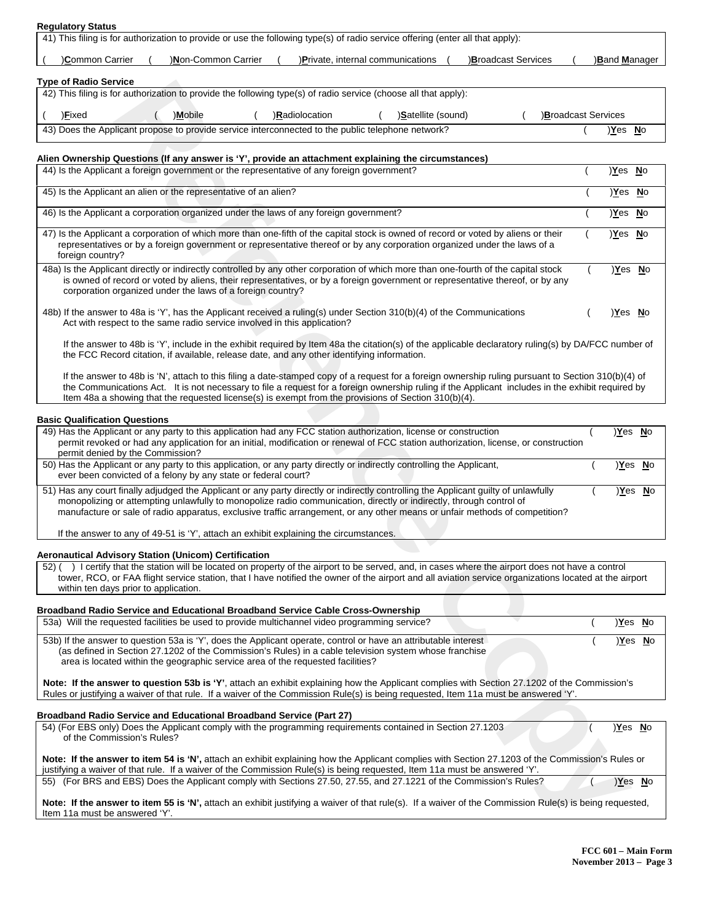## **Regulatory Status**

| 41) This filing is for authorization to provide or use the following type(s) of radio service offering (enter all that apply):                  |                     |  |                                                                                                   |  |                           |                       |  |  |  |
|-------------------------------------------------------------------------------------------------------------------------------------------------|---------------------|--|---------------------------------------------------------------------------------------------------|--|---------------------------|-----------------------|--|--|--|
| Common Carrier                                                                                                                                  | )Non-Common Carrier |  | )Private, internal communications                                                                 |  | <b>Broadcast Services</b> | ) <b>Band Manager</b> |  |  |  |
| <b>Type of Radio Service</b><br>42) This filing is for authorization to provide the following type(s) of radio service (choose all that apply): |                     |  |                                                                                                   |  |                           |                       |  |  |  |
| )Mobile<br>)Satellite (sound)<br>)Fixed<br>Broadcast Services<br>)Radiolocation                                                                 |                     |  |                                                                                                   |  |                           |                       |  |  |  |
|                                                                                                                                                 |                     |  | 43) Does the Applicant propose to provide service interconnected to the public telephone network? |  |                           | Yes)<br><b>No</b>     |  |  |  |

### **Alien Ownership Questions (If any answer is 'Y', provide an attachment explaining the circumstances)**

| Type of Radio Service                                                                                                                                                                                                                                                                                                                                                                                            |                |                |
|------------------------------------------------------------------------------------------------------------------------------------------------------------------------------------------------------------------------------------------------------------------------------------------------------------------------------------------------------------------------------------------------------------------|----------------|----------------|
| 42) This filing is for authorization to provide the following type(s) of radio service (choose all that apply):                                                                                                                                                                                                                                                                                                  |                |                |
| Broadcast Services<br>) <b>Fixed</b><br>)Mobile<br>)Radiolocation<br>)Satellite (sound)                                                                                                                                                                                                                                                                                                                          |                |                |
| 43) Does the Applicant propose to provide service interconnected to the public telephone network?                                                                                                                                                                                                                                                                                                                | <u>Yes</u> No  |                |
|                                                                                                                                                                                                                                                                                                                                                                                                                  |                |                |
| Alien Ownership Questions (If any answer is 'Y', provide an attachment explaining the circumstances)<br>44) Is the Applicant a foreign government or the representative of any foreign government?                                                                                                                                                                                                               |                |                |
|                                                                                                                                                                                                                                                                                                                                                                                                                  | )Yes No        |                |
| 45) Is the Applicant an alien or the representative of an alien?                                                                                                                                                                                                                                                                                                                                                 | <u>Yes</u> No  |                |
| 46) Is the Applicant a corporation organized under the laws of any foreign government?                                                                                                                                                                                                                                                                                                                           | <u>Yes</u> No  |                |
| 47) Is the Applicant a corporation of which more than one-fifth of the capital stock is owned of record or voted by aliens or their<br>representatives or by a foreign government or representative thereof or by any corporation organized under the laws of a<br>foreign country?                                                                                                                              | <u>)Yes No</u> |                |
| 48a) Is the Applicant directly or indirectly controlled by any other corporation of which more than one-fourth of the capital stock<br>is owned of record or voted by aliens, their representatives, or by a foreign government or representative thereof, or by any<br>corporation organized under the laws of a foreign country?                                                                               | <u>)Yes No</u> |                |
| 48b) If the answer to 48a is 'Y', has the Applicant received a ruling(s) under Section 310(b)(4) of the Communications<br>Act with respect to the same radio service involved in this application?                                                                                                                                                                                                               | <u>)Yes No</u> |                |
| If the answer to 48b is 'Y', include in the exhibit required by Item 48a the citation(s) of the applicable declaratory ruling(s) by DA/FCC number of<br>the FCC Record citation, if available, release date, and any other identifying information.                                                                                                                                                              |                |                |
| If the answer to 48b is 'N', attach to this filing a date-stamped copy of a request for a foreign ownership ruling pursuant to Section 310(b)(4) of<br>the Communications Act. It is not necessary to file a request for a foreign ownership ruling if the Applicant includes in the exhibit required by<br>Item 48a a showing that the requested license(s) is exempt from the provisions of Section 310(b)(4). |                |                |
| Basic Qualification Questions                                                                                                                                                                                                                                                                                                                                                                                    |                |                |
| 49) Has the Applicant or any party to this application had any FCC station authorization, license or construction<br>permit revoked or had any application for an initial, modification or renewal of FCC station authorization, license, or construction<br>permit denied by the Commission?                                                                                                                    |                | <u>Yes</u> No  |
| 50) Has the Applicant or any party to this application, or any party directly or indirectly controlling the Applicant,<br>ever been convicted of a felony by any state or federal court?                                                                                                                                                                                                                         |                | <u>)Yes No</u> |
| 51) Has any court finally adjudged the Applicant or any party directly or indirectly controlling the Applicant guilty of unlawfully<br>monopolizing or attempting unlawfully to monopolize radio communication, directly or indirectly, through control of<br>manufacture or sale of radio apparatus, exclusive traffic arrangement, or any other means or unfair methods of competition?                        |                | <u>)Yes No</u> |
| If the answer to any of 49-51 is 'Y', attach an exhibit explaining the circumstances.                                                                                                                                                                                                                                                                                                                            |                |                |
| Aeronautical Advisory Station (Unicom) Certification                                                                                                                                                                                                                                                                                                                                                             |                |                |
| 52) () I certify that the station will be located on property of the airport to be served, and, in cases where the airport does not have a control<br>tower, RCO, or FAA flight service station, that I have notified the owner of the airport and all aviation service organizations located at the airport<br>within ten days prior to application.                                                            |                |                |
| Broadband Radio Service and Educational Broadband Service Cable Cross-Ownership                                                                                                                                                                                                                                                                                                                                  |                |                |
| 53a) Will the requested facilities be used to provide multichannel video programming service?                                                                                                                                                                                                                                                                                                                    |                | <u>)Yes No</u> |
| 53b) If the answer to question 53a is 'Y', does the Applicant operate, control or have an attributable interest<br>(as defined in Section 27.1202 of the Commission's Rules) in a cable television system whose franchise<br>area is located within the geographic service area of the requested facilities?                                                                                                     |                | <u>)Yes No</u> |
| Note: If the answer to question 53b is 'Y', attach an exhibit explaining how the Applicant complies with Section 27.1202 of the Commission's<br>Rules or justifying a waiver of that rule. If a waiver of the Commission Rule(s) is being requested, Item 11a must be answered 'Y'.                                                                                                                              |                |                |
| Broadband Radio Service and Educational Broadband Service (Part 27)                                                                                                                                                                                                                                                                                                                                              |                |                |
| 54) (For EBS only) Does the Applicant comply with the programming requirements contained in Section 27.1203<br>of the Commission's Rules?                                                                                                                                                                                                                                                                        | Yes No         |                |
| Note: If the answer to item 54 is 'N', attach an exhibit explaining how the Applicant complies with Section 27.1203 of the Commission's Rules or<br>justifying a waiver of that rule. If a waiver of the Commission Rule(s) is being requested, Item 11a must be answered 'Y'.                                                                                                                                   |                |                |
| 55) (For BRS and EBS) Does the Applicant comply with Sections 27.50, 27.55, and 27.1221 of the Commission's Rules?                                                                                                                                                                                                                                                                                               |                | Yes No         |
| Note: If the answer to item 55 is 'N', attach an exhibit justifying a waiver of that rule(s). If a waiver of the Commission Rule(s) is being requested,<br>Item 11a must be answered 'Y'.                                                                                                                                                                                                                        |                |                |
|                                                                                                                                                                                                                                                                                                                                                                                                                  |                |                |

#### **Basic Qualification Questions**

| 49) Has the Applicant or any party to this application had any FCC station authorization, license or construction                                                                                                                                                                                                                                                                         | Yes No  |  |
|-------------------------------------------------------------------------------------------------------------------------------------------------------------------------------------------------------------------------------------------------------------------------------------------------------------------------------------------------------------------------------------------|---------|--|
| permit revoked or had any application for an initial, modification or renewal of FCC station authorization, license, or construction<br>permit denied by the Commission?                                                                                                                                                                                                                  |         |  |
|                                                                                                                                                                                                                                                                                                                                                                                           |         |  |
| 50) Has the Applicant or any party to this application, or any party directly or indirectly controlling the Applicant,                                                                                                                                                                                                                                                                    | )Yes No |  |
| ever been convicted of a felony by any state or federal court?                                                                                                                                                                                                                                                                                                                            |         |  |
| 51) Has any court finally adjudged the Applicant or any party directly or indirectly controlling the Applicant guilty of unlawfully<br>monopolizing or attempting unlawfully to monopolize radio communication, directly or indirectly, through control of<br>manufacture or sale of radio apparatus, exclusive traffic arrangement, or any other means or unfair methods of competition? | )Yes No |  |
| If the answer to any of 49-51 is 'Y', attach an exhibit explaining the circumstances.                                                                                                                                                                                                                                                                                                     |         |  |

#### **Aeronautical Advisory Station (Unicom) Certification**

#### **Broadband Radio Service and Educational Broadband Service Cable Cross-Ownership**

| 53a) Will the requested facilities be used to provide multichannel video programming service?                                                                                                                                                                                                                | Yes No |  |
|--------------------------------------------------------------------------------------------------------------------------------------------------------------------------------------------------------------------------------------------------------------------------------------------------------------|--------|--|
| 53b) If the answer to question 53a is 'Y', does the Applicant operate, control or have an attributable interest<br>(as defined in Section 27.1202 of the Commission's Rules) in a cable television system whose franchise<br>area is located within the geographic service area of the requested facilities? | Yes No |  |
| Note: If the answer to question 53b is 'Y', attach an exhibit explaining how the Applicant complies with Section 27.1202 of the Commission's<br>Rules or justifying a waiver of that rule. If a waiver of the Commission Rule(s) is being requested, Item 11a must be answered 'Y'.                          |        |  |
| <b>Broadband Radio Service and Educational Broadband Service (Part 27)</b>                                                                                                                                                                                                                                   |        |  |
| 54) (For EBS only) Does the Applicant comply with the programming requirements contained in Section 27.1203<br>of the Commission's Rules?                                                                                                                                                                    | Yes No |  |
| Note: If the answer to item 54 is 'N', attach an exhibit explaining how the Applicant complies with Section 27.1203 of the Commission's Rules or                                                                                                                                                             |        |  |